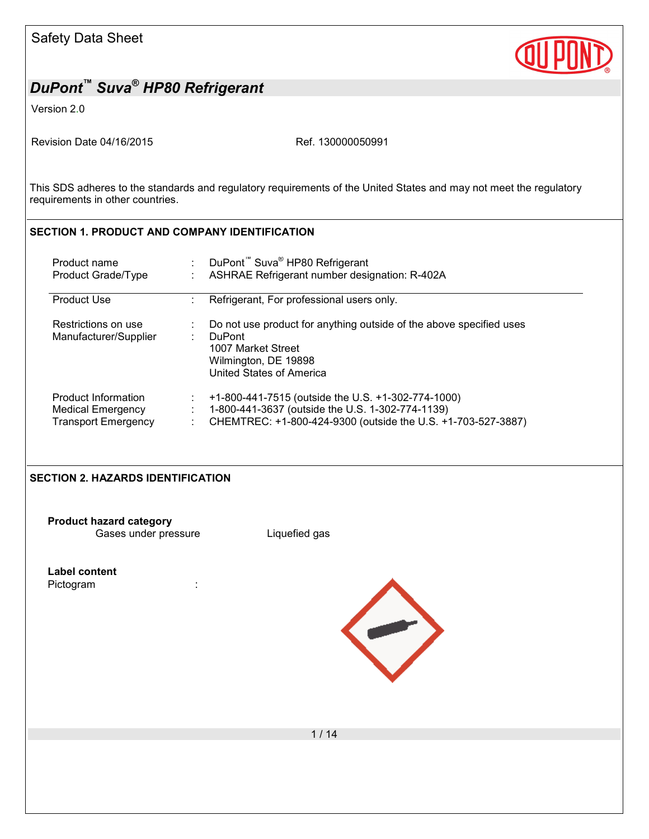

Version 2.0

Revision Date 04/16/2015 Revision Date 04/16/2015

This SDS adheres to the standards and regulatory requirements of the United States and may not meet the regulatory requirements in other countries.

### **SECTION 1. PRODUCT AND COMPANY IDENTIFICATION**

| Product name                                 | DuPont <sup>™</sup> Suva <sup>®</sup> HP80 Refrigerant                                                                                                         |
|----------------------------------------------|----------------------------------------------------------------------------------------------------------------------------------------------------------------|
| Product Grade/Type                           | ASHRAE Refrigerant number designation: R-402A                                                                                                                  |
| <b>Product Use</b>                           | Refrigerant, For professional users only.                                                                                                                      |
| Restrictions on use<br>Manufacturer/Supplier | Do not use product for anything outside of the above specified uses<br><b>DuPont</b><br>1007 Market Street<br>Wilmington, DE 19898<br>United States of America |
| Product Information                          | +1-800-441-7515 (outside the U.S. +1-302-774-1000)                                                                                                             |
| Medical Emergency                            | 1-800-441-3637 (outside the U.S. 1-302-774-1139)                                                                                                               |
| <b>Transport Emergency</b>                   | CHEMTREC: +1-800-424-9300 (outside the U.S. +1-703-527-3887)                                                                                                   |

#### **SECTION 2. HAZARDS IDENTIFICATION**

**Product hazard category** Gases under pressure Liquefied gas

**Label content** Pictogram :

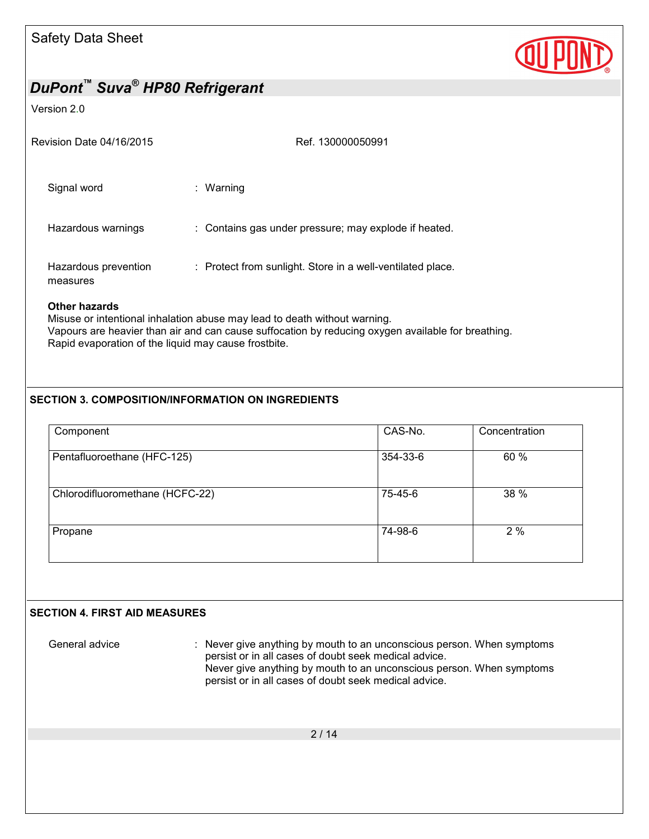

#### Version 2.0

| Revision Date 04/16/2015         | Ref. 130000050991                                          |
|----------------------------------|------------------------------------------------------------|
| Signal word                      | : Warning                                                  |
| Hazardous warnings               | : Contains gas under pressure; may explode if heated.      |
| Hazardous prevention<br>measures | : Protect from sunlight. Store in a well-ventilated place. |

### **Other hazards**

Misuse or intentional inhalation abuse may lead to death without warning. Vapours are heavier than air and can cause suffocation by reducing oxygen available for breathing. Rapid evaporation of the liquid may cause frostbite.

### **SECTION 3. COMPOSITION/INFORMATION ON INGREDIENTS**

| Component                       | CAS-No.  | Concentration |
|---------------------------------|----------|---------------|
| Pentafluoroethane (HFC-125)     | 354-33-6 | 60 %          |
| Chlorodifluoromethane (HCFC-22) | 75-45-6  | 38 %          |
| Propane                         | 74-98-6  | 2%            |
|                                 |          |               |

### **SECTION 4. FIRST AID MEASURES**

General advice : Never give anything by mouth to an unconscious person. When symptoms persist or in all cases of doubt seek medical advice. Never give anything by mouth to an unconscious person. When symptoms persist or in all cases of doubt seek medical advice.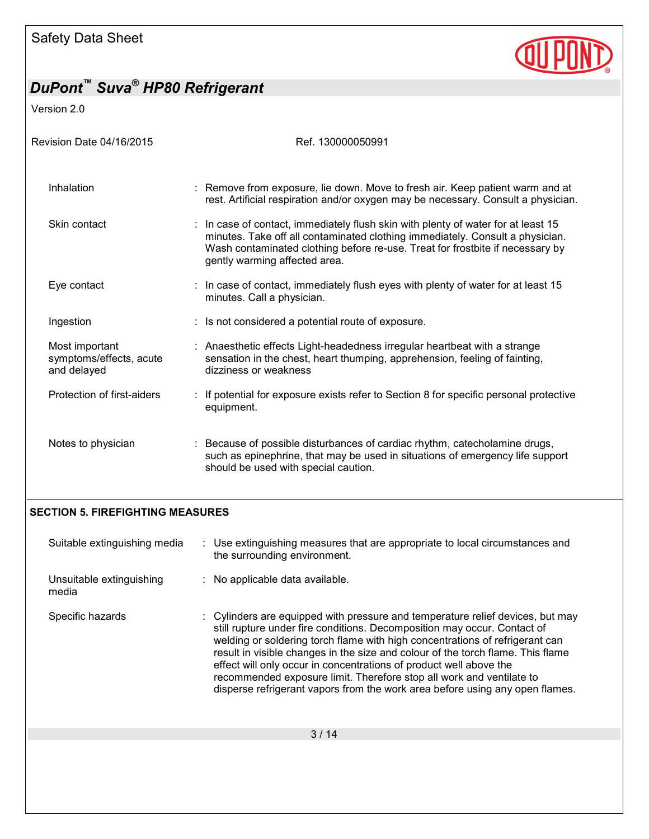

Version 2.0

| Revision Date 04/16/2015                                 | Ref. 130000050991                                                                                                                                                                                                                                                                    |
|----------------------------------------------------------|--------------------------------------------------------------------------------------------------------------------------------------------------------------------------------------------------------------------------------------------------------------------------------------|
| Inhalation                                               | : Remove from exposure, lie down. Move to fresh air. Keep patient warm and at<br>rest. Artificial respiration and/or oxygen may be necessary. Consult a physician.                                                                                                                   |
| Skin contact                                             | : In case of contact, immediately flush skin with plenty of water for at least 15<br>minutes. Take off all contaminated clothing immediately. Consult a physician.<br>Wash contaminated clothing before re-use. Treat for frostbite if necessary by<br>gently warming affected area. |
| Eye contact                                              | : In case of contact, immediately flush eyes with plenty of water for at least 15<br>minutes. Call a physician.                                                                                                                                                                      |
| Ingestion                                                | : Is not considered a potential route of exposure.                                                                                                                                                                                                                                   |
| Most important<br>symptoms/effects, acute<br>and delayed | : Anaesthetic effects Light-headedness irregular heartbeat with a strange<br>sensation in the chest, heart thumping, apprehension, feeling of fainting,<br>dizziness or weakness                                                                                                     |
| Protection of first-aiders                               | : If potential for exposure exists refer to Section 8 for specific personal protective<br>equipment.                                                                                                                                                                                 |
| Notes to physician                                       | : Because of possible disturbances of cardiac rhythm, catecholamine drugs,<br>such as epinephrine, that may be used in situations of emergency life support<br>should be used with special caution.                                                                                  |

### **SECTION 5. FIREFIGHTING MEASURES**

| Suitable extinguishing media      | : Use extinguishing measures that are appropriate to local circumstances and<br>the surrounding environment.                                                                                                                                                                                                                                                                                                                                                                                                                                                |  |
|-----------------------------------|-------------------------------------------------------------------------------------------------------------------------------------------------------------------------------------------------------------------------------------------------------------------------------------------------------------------------------------------------------------------------------------------------------------------------------------------------------------------------------------------------------------------------------------------------------------|--|
| Unsuitable extinguishing<br>media | : No applicable data available.                                                                                                                                                                                                                                                                                                                                                                                                                                                                                                                             |  |
| Specific hazards                  | : Cylinders are equipped with pressure and temperature relief devices, but may<br>still rupture under fire conditions. Decomposition may occur. Contact of<br>welding or soldering torch flame with high concentrations of refrigerant can<br>result in visible changes in the size and colour of the torch flame. This flame<br>effect will only occur in concentrations of product well above the<br>recommended exposure limit. Therefore stop all work and ventilate to<br>disperse refrigerant vapors from the work area before using any open flames. |  |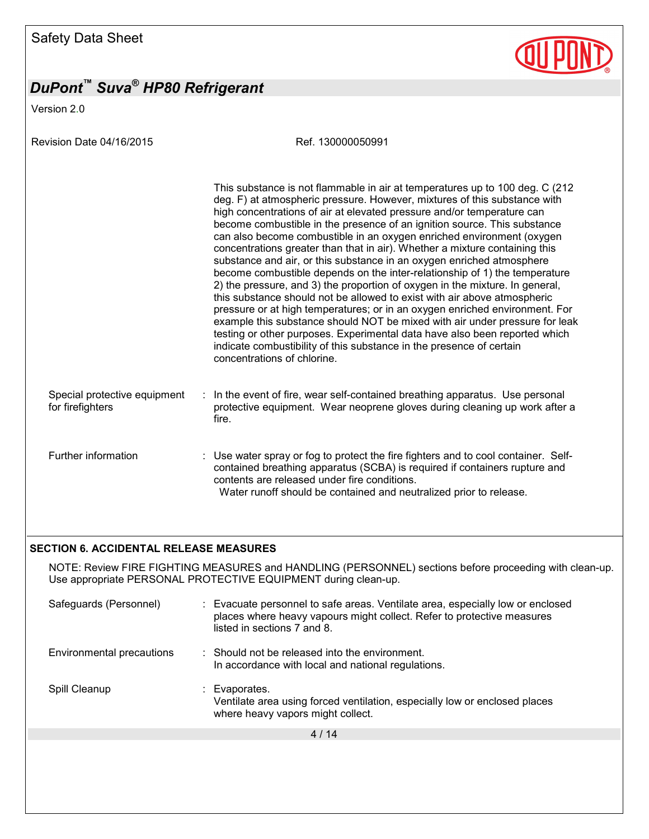Version 2.0

Revision Date 04/16/2015 Ref. 130000050991

|                                                  |   | This substance is not flammable in air at temperatures up to 100 deg. C (212)<br>deg. F) at atmospheric pressure. However, mixtures of this substance with<br>high concentrations of air at elevated pressure and/or temperature can<br>become combustible in the presence of an ignition source. This substance<br>can also become combustible in an oxygen enriched environment (oxygen<br>concentrations greater than that in air). Whether a mixture containing this<br>substance and air, or this substance in an oxygen enriched atmosphere<br>become combustible depends on the inter-relationship of 1) the temperature<br>2) the pressure, and 3) the proportion of oxygen in the mixture. In general,<br>this substance should not be allowed to exist with air above atmospheric<br>pressure or at high temperatures; or in an oxygen enriched environment. For<br>example this substance should NOT be mixed with air under pressure for leak<br>testing or other purposes. Experimental data have also been reported which<br>indicate combustibility of this substance in the presence of certain<br>concentrations of chlorine. |
|--------------------------------------------------|---|------------------------------------------------------------------------------------------------------------------------------------------------------------------------------------------------------------------------------------------------------------------------------------------------------------------------------------------------------------------------------------------------------------------------------------------------------------------------------------------------------------------------------------------------------------------------------------------------------------------------------------------------------------------------------------------------------------------------------------------------------------------------------------------------------------------------------------------------------------------------------------------------------------------------------------------------------------------------------------------------------------------------------------------------------------------------------------------------------------------------------------------------|
| Special protective equipment<br>for firefighters | ÷ | In the event of fire, wear self-contained breathing apparatus. Use personal<br>protective equipment. Wear neoprene gloves during cleaning up work after a<br>fire.                                                                                                                                                                                                                                                                                                                                                                                                                                                                                                                                                                                                                                                                                                                                                                                                                                                                                                                                                                             |
| Further information                              |   | : Use water spray or fog to protect the fire fighters and to cool container. Self-<br>contained breathing apparatus (SCBA) is required if containers rupture and<br>contents are released under fire conditions.<br>Water runoff should be contained and neutralized prior to release.                                                                                                                                                                                                                                                                                                                                                                                                                                                                                                                                                                                                                                                                                                                                                                                                                                                         |

#### **SECTION 6. ACCIDENTAL RELEASE MEASURES**

NOTE: Review FIRE FIGHTING MEASURES and HANDLING (PERSONNEL) sections before proceeding with clean-up. Use appropriate PERSONAL PROTECTIVE EQUIPMENT during clean-up.

| Safeguards (Personnel)    | : Evacuate personnel to safe areas. Ventilate area, especially low or enclosed<br>places where heavy vapours might collect. Refer to protective measures<br>listed in sections 7 and 8. |
|---------------------------|-----------------------------------------------------------------------------------------------------------------------------------------------------------------------------------------|
| Environmental precautions | $\therefore$ Should not be released into the environment.<br>In accordance with local and national regulations.                                                                         |
| Spill Cleanup             | Evaporates.<br>Ventilate area using forced ventilation, especially low or enclosed places<br>where heavy vapors might collect.                                                          |
|                           | 4/14                                                                                                                                                                                    |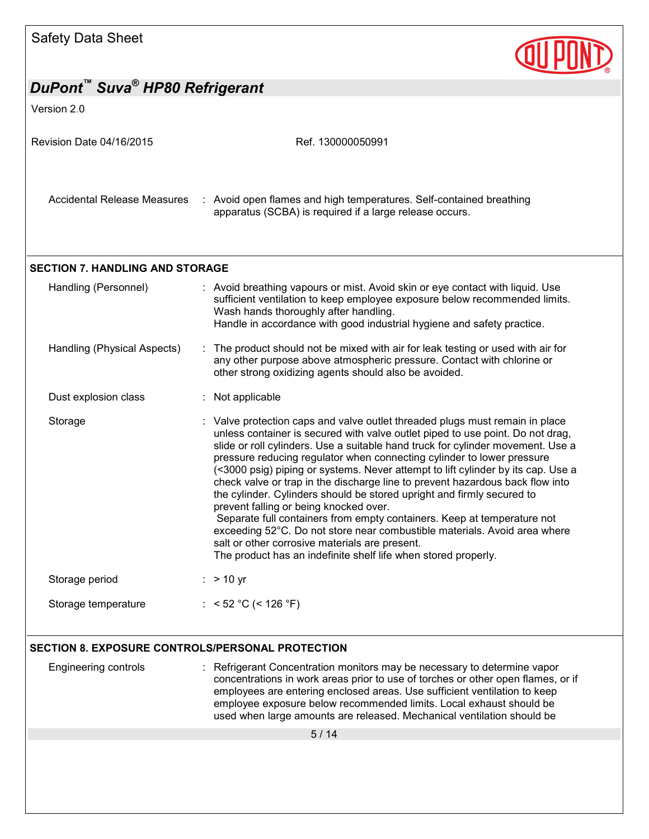| Safety Data Sheet                                         |                                                                                                                                                                                                                                                                                                                                                                                                                                                                                                                                                                                                                                                                                                                                                                                                                                                                                                  |
|-----------------------------------------------------------|--------------------------------------------------------------------------------------------------------------------------------------------------------------------------------------------------------------------------------------------------------------------------------------------------------------------------------------------------------------------------------------------------------------------------------------------------------------------------------------------------------------------------------------------------------------------------------------------------------------------------------------------------------------------------------------------------------------------------------------------------------------------------------------------------------------------------------------------------------------------------------------------------|
| DuPont™ Suva <sup>®</sup> HP80 Refrigerant<br>Version 2.0 |                                                                                                                                                                                                                                                                                                                                                                                                                                                                                                                                                                                                                                                                                                                                                                                                                                                                                                  |
| Revision Date 04/16/2015                                  | Ref. 130000050991                                                                                                                                                                                                                                                                                                                                                                                                                                                                                                                                                                                                                                                                                                                                                                                                                                                                                |
| Accidental Release Measures                               | : Avoid open flames and high temperatures. Self-contained breathing<br>apparatus (SCBA) is required if a large release occurs.                                                                                                                                                                                                                                                                                                                                                                                                                                                                                                                                                                                                                                                                                                                                                                   |
| <b>SECTION 7. HANDLING AND STORAGE</b>                    |                                                                                                                                                                                                                                                                                                                                                                                                                                                                                                                                                                                                                                                                                                                                                                                                                                                                                                  |
| Handling (Personnel)                                      | : Avoid breathing vapours or mist. Avoid skin or eye contact with liquid. Use<br>sufficient ventilation to keep employee exposure below recommended limits.<br>Wash hands thoroughly after handling.<br>Handle in accordance with good industrial hygiene and safety practice.                                                                                                                                                                                                                                                                                                                                                                                                                                                                                                                                                                                                                   |
| Handling (Physical Aspects)                               | The product should not be mixed with air for leak testing or used with air for<br>any other purpose above atmospheric pressure. Contact with chlorine or<br>other strong oxidizing agents should also be avoided.                                                                                                                                                                                                                                                                                                                                                                                                                                                                                                                                                                                                                                                                                |
| Dust explosion class                                      | : Not applicable                                                                                                                                                                                                                                                                                                                                                                                                                                                                                                                                                                                                                                                                                                                                                                                                                                                                                 |
| Storage                                                   | : Valve protection caps and valve outlet threaded plugs must remain in place<br>unless container is secured with valve outlet piped to use point. Do not drag,<br>slide or roll cylinders. Use a suitable hand truck for cylinder movement. Use a<br>pressure reducing regulator when connecting cylinder to lower pressure<br>(<3000 psig) piping or systems. Never attempt to lift cylinder by its cap. Use a<br>check valve or trap in the discharge line to prevent hazardous back flow into<br>the cylinder. Cylinders should be stored upright and firmly secured to<br>prevent falling or being knocked over.<br>Separate full containers from empty containers. Keep at temperature not<br>exceeding 52°C. Do not store near combustible materials. Avoid area where<br>salt or other corrosive materials are present.<br>The product has an indefinite shelf life when stored properly. |
| Storage period                                            | $:$ > 10 yr                                                                                                                                                                                                                                                                                                                                                                                                                                                                                                                                                                                                                                                                                                                                                                                                                                                                                      |
| Storage temperature                                       | : $<$ 52 °C (< 126 °F)                                                                                                                                                                                                                                                                                                                                                                                                                                                                                                                                                                                                                                                                                                                                                                                                                                                                           |
| <b>SECTION 8. EXPOSURE CONTROLS/PERSONAL PROTECTION</b>   |                                                                                                                                                                                                                                                                                                                                                                                                                                                                                                                                                                                                                                                                                                                                                                                                                                                                                                  |
| Engineering controls                                      | : Refrigerant Concentration monitors may be necessary to determine vapor<br>concentrations in work areas prior to use of torches or other open flames, or if<br>employees are entering enclosed areas. Use sufficient ventilation to keep<br>employee exposure below recommended limits. Local exhaust should be<br>used when large amounts are released. Mechanical ventilation should be                                                                                                                                                                                                                                                                                                                                                                                                                                                                                                       |
|                                                           | 5/14                                                                                                                                                                                                                                                                                                                                                                                                                                                                                                                                                                                                                                                                                                                                                                                                                                                                                             |
|                                                           |                                                                                                                                                                                                                                                                                                                                                                                                                                                                                                                                                                                                                                                                                                                                                                                                                                                                                                  |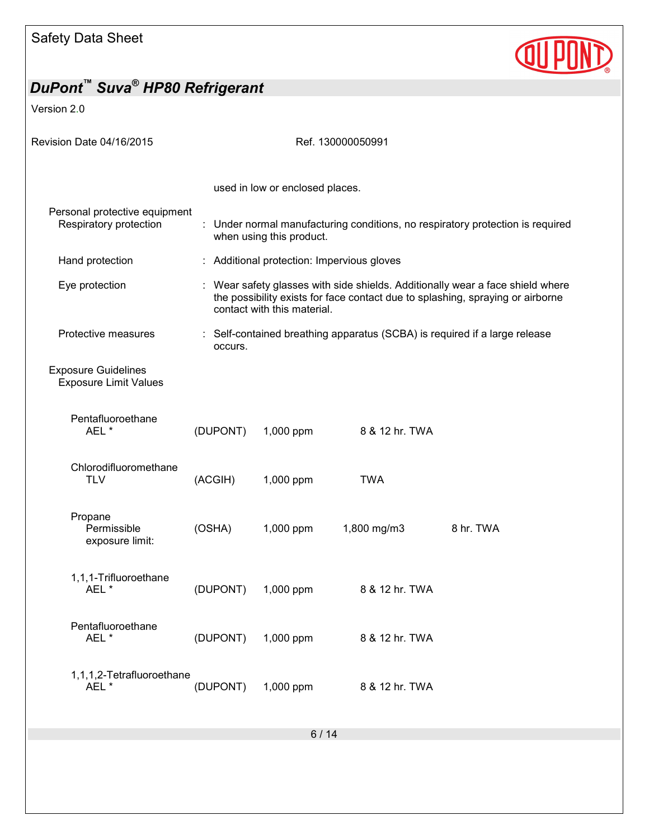

| DuPont™ Suva <sup>®</sup> HP80 Refrigerant                 |          |                                                                                                                                                                                                 |                                 |                                                                            |           |  |  |
|------------------------------------------------------------|----------|-------------------------------------------------------------------------------------------------------------------------------------------------------------------------------------------------|---------------------------------|----------------------------------------------------------------------------|-----------|--|--|
| Version 2.0                                                |          |                                                                                                                                                                                                 |                                 |                                                                            |           |  |  |
| Revision Date 04/16/2015                                   |          | Ref. 130000050991                                                                                                                                                                               |                                 |                                                                            |           |  |  |
|                                                            |          |                                                                                                                                                                                                 | used in low or enclosed places. |                                                                            |           |  |  |
| Personal protective equipment<br>Respiratory protection    |          | : Under normal manufacturing conditions, no respiratory protection is required<br>when using this product.                                                                                      |                                 |                                                                            |           |  |  |
| Hand protection                                            |          |                                                                                                                                                                                                 |                                 | : Additional protection: Impervious gloves                                 |           |  |  |
| Eye protection                                             |          | : Wear safety glasses with side shields. Additionally wear a face shield where<br>the possibility exists for face contact due to splashing, spraying or airborne<br>contact with this material. |                                 |                                                                            |           |  |  |
| Protective measures                                        |          | occurs.                                                                                                                                                                                         |                                 | : Self-contained breathing apparatus (SCBA) is required if a large release |           |  |  |
| <b>Exposure Guidelines</b><br><b>Exposure Limit Values</b> |          |                                                                                                                                                                                                 |                                 |                                                                            |           |  |  |
| Pentafluoroethane<br>AEL*                                  | (DUPONT) |                                                                                                                                                                                                 | 1,000 ppm                       | 8 & 12 hr. TWA                                                             |           |  |  |
| Chlorodifluoromethane<br><b>TLV</b>                        | (ACGIH)  |                                                                                                                                                                                                 | 1,000 ppm                       | <b>TWA</b>                                                                 |           |  |  |
| Propane<br>Permissible<br>exposure limit:                  | (OSHA)   |                                                                                                                                                                                                 | 1,000 ppm                       | 1,800 mg/m3                                                                | 8 hr. TWA |  |  |
| 1,1,1-Trifluoroethane<br>AEL*                              |          | (DUPONT)                                                                                                                                                                                        | 1,000 ppm                       | 8 & 12 hr. TWA                                                             |           |  |  |
| Pentafluoroethane<br>AEL*                                  |          | (DUPONT)                                                                                                                                                                                        | 1,000 ppm                       | 8 & 12 hr. TWA                                                             |           |  |  |
| 1,1,1,2-Tetrafluoroethane<br>AEL *                         | (DUPONT) |                                                                                                                                                                                                 | 1,000 ppm                       | 8 & 12 hr. TWA                                                             |           |  |  |
|                                                            |          |                                                                                                                                                                                                 |                                 | 6/14                                                                       |           |  |  |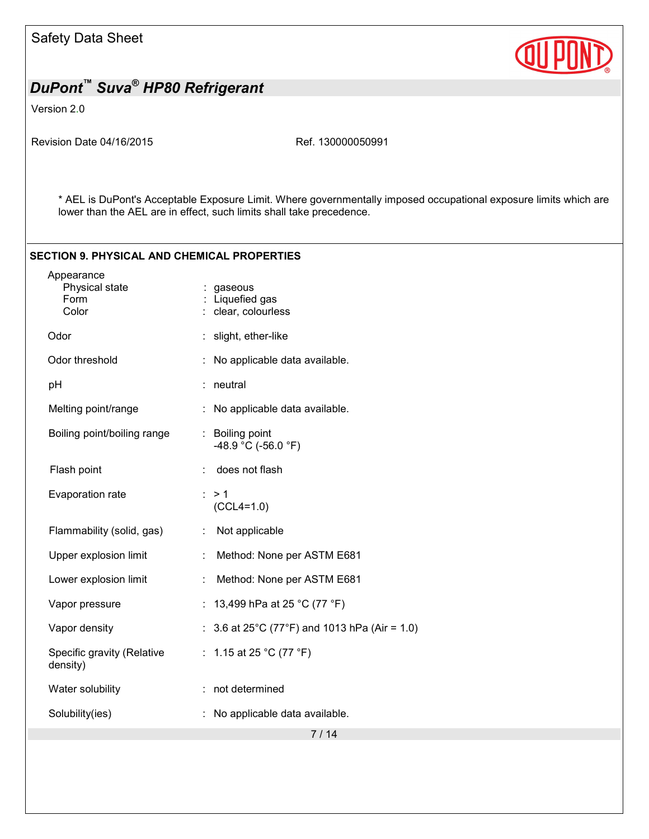

Version 2.0

Revision Date 04/16/2015 Ref. 130000050991

\* AEL is DuPont's Acceptable Exposure Limit. Where governmentally imposed occupational exposure limits which are lower than the AEL are in effect, such limits shall take precedence.

#### **SECTION 9. PHYSICAL AND CHEMICAL PROPERTIES**

| Appearance<br>Physical state<br>Form<br>Color | gaseous<br>Liquefied gas<br>clear, colourless                     |
|-----------------------------------------------|-------------------------------------------------------------------|
| Odor                                          | slight, ether-like                                                |
| Odor threshold                                | No applicable data available.                                     |
| pH                                            | neutral                                                           |
| Melting point/range                           | No applicable data available.                                     |
| Boiling point/boiling range                   | : Boiling point<br>-48.9 °C (-56.0 °F)                            |
| Flash point                                   | does not flash                                                    |
| Evaporation rate                              | $\therefore$ > 1<br>$(CCL4=1.0)$                                  |
| Flammability (solid, gas)                     | Not applicable                                                    |
| Upper explosion limit                         | Method: None per ASTM E681                                        |
| Lower explosion limit                         | Method: None per ASTM E681                                        |
| Vapor pressure                                | 13,499 hPa at 25 °C (77 °F)                                       |
| Vapor density                                 | 3.6 at 25 $^{\circ}$ C (77 $^{\circ}$ F) and 1013 hPa (Air = 1.0) |
| Specific gravity (Relative<br>density)        | : 1.15 at 25 °C (77 °F)                                           |
| Water solubility                              | : not determined                                                  |
| Solubility(ies)                               | No applicable data available.                                     |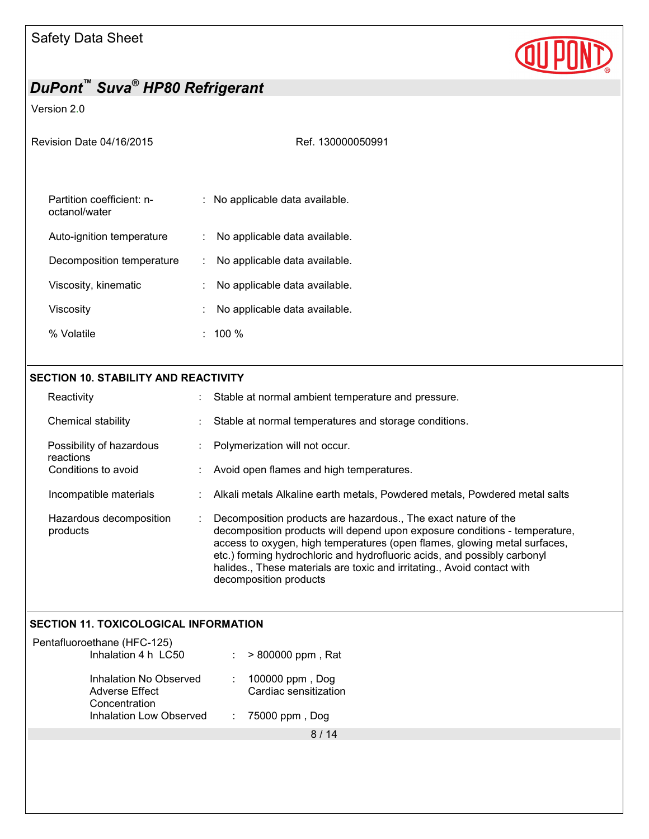

### Version 2.0

| Revision Date 04/16/2015                   | Ref. 130000050991                   |
|--------------------------------------------|-------------------------------------|
| Partition coefficient: n-<br>octanol/water | : No applicable data available.     |
| Auto-ignition temperature                  | : No applicable data available.     |
| Decomposition temperature                  | No applicable data available.<br>t. |
| Viscosity, kinematic                       | No applicable data available.       |
| Viscosity                                  | No applicable data available.       |
| % Volatile                                 | $: 100 \%$                          |
|                                            |                                     |

#### **SECTION 10. STABILITY AND REACTIVITY**

| Reactivity                            | Stable at normal ambient temperature and pressure.                                                                                                                                                                                                                                                                                                                                                         |
|---------------------------------------|------------------------------------------------------------------------------------------------------------------------------------------------------------------------------------------------------------------------------------------------------------------------------------------------------------------------------------------------------------------------------------------------------------|
| Chemical stability                    | Stable at normal temperatures and storage conditions.                                                                                                                                                                                                                                                                                                                                                      |
| Possibility of hazardous<br>reactions | Polymerization will not occur.                                                                                                                                                                                                                                                                                                                                                                             |
| Conditions to avoid                   | Avoid open flames and high temperatures.                                                                                                                                                                                                                                                                                                                                                                   |
| Incompatible materials                | Alkali metals Alkaline earth metals, Powdered metals, Powdered metal salts                                                                                                                                                                                                                                                                                                                                 |
| Hazardous decomposition<br>products   | Decomposition products are hazardous., The exact nature of the<br>decomposition products will depend upon exposure conditions - temperature,<br>access to oxygen, high temperatures (open flames, glowing metal surfaces,<br>etc.) forming hydrochloric and hydrofluoric acids, and possibly carbonyl<br>halides., These materials are toxic and irritating., Avoid contact with<br>decomposition products |

### **SECTION 11. TOXICOLOGICAL INFORMATION**

| Pentafluoroethane (HFC-125)<br>Inhalation 4 h LC50               | $:$ > 800000 ppm, Rat                        |
|------------------------------------------------------------------|----------------------------------------------|
| Inhalation No Observed<br><b>Adverse Effect</b><br>Concentration | : $100000$ ppm, Dog<br>Cardiac sensitization |
| <b>Inhalation Low Observed</b>                                   | $: 75000$ ppm, Dog                           |
|                                                                  |                                              |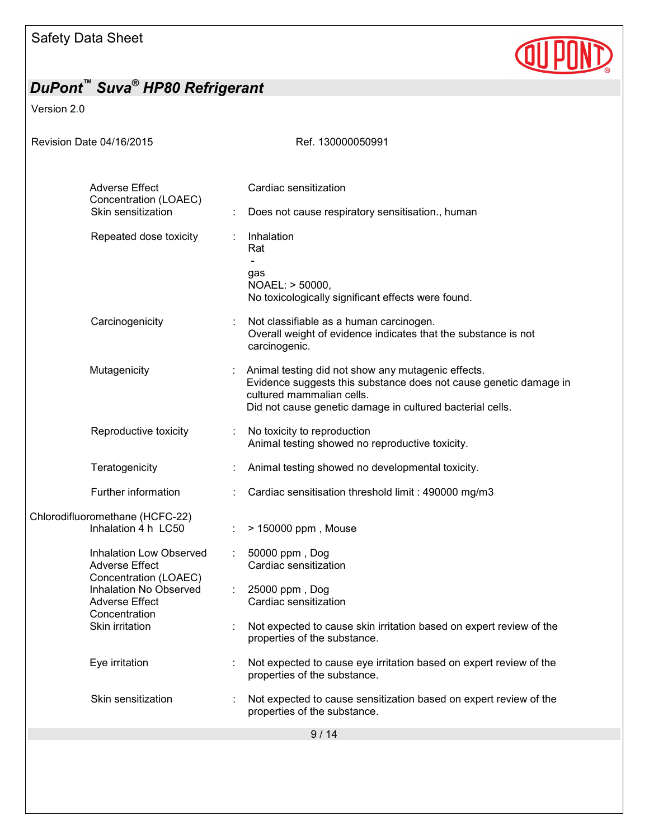

Version 2.0

| Revision Date 04/16/2015                                          | Ref. 130000050991                                                                                                                                                                                                 |
|-------------------------------------------------------------------|-------------------------------------------------------------------------------------------------------------------------------------------------------------------------------------------------------------------|
|                                                                   |                                                                                                                                                                                                                   |
| <b>Adverse Effect</b><br>Concentration (LOAEC)                    | Cardiac sensitization                                                                                                                                                                                             |
| Skin sensitization                                                | Does not cause respiratory sensitisation., human                                                                                                                                                                  |
| Repeated dose toxicity                                            | Inhalation<br>Rat                                                                                                                                                                                                 |
|                                                                   | gas<br>NOAEL: > 50000,<br>No toxicologically significant effects were found.                                                                                                                                      |
| Carcinogenicity                                                   | Not classifiable as a human carcinogen.<br>Overall weight of evidence indicates that the substance is not<br>carcinogenic.                                                                                        |
| Mutagenicity                                                      | Animal testing did not show any mutagenic effects.<br>Evidence suggests this substance does not cause genetic damage in<br>cultured mammalian cells.<br>Did not cause genetic damage in cultured bacterial cells. |
| Reproductive toxicity<br>÷                                        | No toxicity to reproduction<br>Animal testing showed no reproductive toxicity.                                                                                                                                    |
| Teratogenicity                                                    | Animal testing showed no developmental toxicity.                                                                                                                                                                  |
| Further information                                               | Cardiac sensitisation threshold limit: 490000 mg/m3                                                                                                                                                               |
| Chlorodifluoromethane (HCFC-22)<br>Inhalation 4 h LC50            | > 150000 ppm, Mouse                                                                                                                                                                                               |
| <b>Inhalation Low Observed</b><br>÷<br><b>Adverse Effect</b>      | 50000 ppm, Dog<br>Cardiac sensitization                                                                                                                                                                           |
| Concentration (LOAEC)<br>Inhalation No Observed<br>Adverse Effect | 25000 ppm, Dog<br>$\mathcal{L}_{\mathcal{A}}$<br>Cardiac sensitization                                                                                                                                            |
| Concentration<br>Skin irritation                                  | Not expected to cause skin irritation based on expert review of the<br>properties of the substance.                                                                                                               |
| Eye irritation                                                    | Not expected to cause eye irritation based on expert review of the<br>properties of the substance.                                                                                                                |
| Skin sensitization                                                | Not expected to cause sensitization based on expert review of the<br>properties of the substance.                                                                                                                 |
|                                                                   | 9/14                                                                                                                                                                                                              |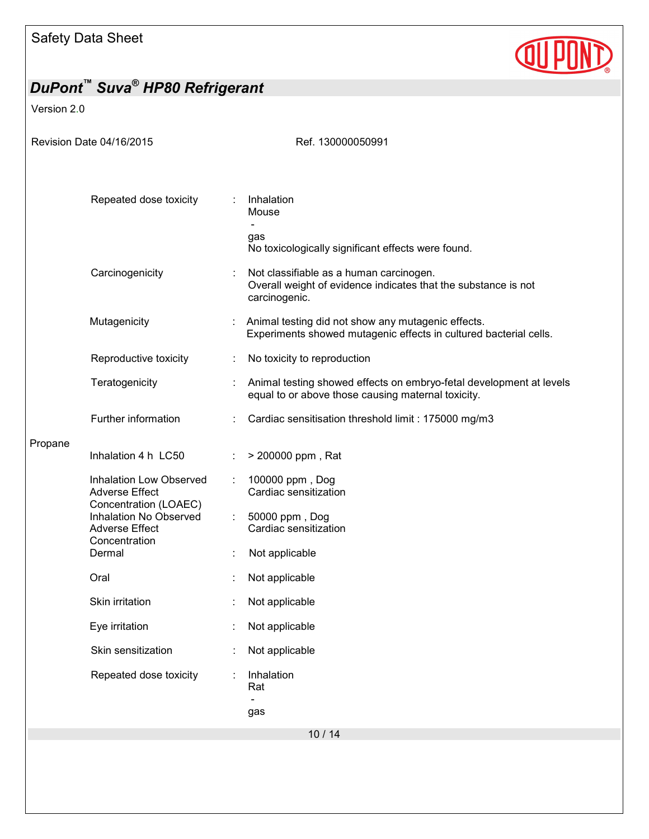

| DuPont™ Suva <sup>®</sup> HP80 Refrigerant |                                                                                                                              |                             |                                                                                                                            |
|--------------------------------------------|------------------------------------------------------------------------------------------------------------------------------|-----------------------------|----------------------------------------------------------------------------------------------------------------------------|
| Version 2.0                                |                                                                                                                              |                             |                                                                                                                            |
| Revision Date 04/16/2015                   |                                                                                                                              |                             | Ref. 130000050991                                                                                                          |
|                                            | Repeated dose toxicity                                                                                                       |                             | Inhalation<br>Mouse<br>$\blacksquare$<br>gas<br>No toxicologically significant effects were found.                         |
|                                            | Carcinogenicity                                                                                                              |                             | Not classifiable as a human carcinogen.<br>Overall weight of evidence indicates that the substance is not<br>carcinogenic. |
|                                            | Mutagenicity                                                                                                                 |                             | Animal testing did not show any mutagenic effects.<br>Experiments showed mutagenic effects in cultured bacterial cells.    |
|                                            | Reproductive toxicity                                                                                                        | ÷                           | No toxicity to reproduction                                                                                                |
|                                            | Teratogenicity                                                                                                               |                             | Animal testing showed effects on embryo-fetal development at levels<br>equal to or above those causing maternal toxicity.  |
|                                            | Further information                                                                                                          |                             | Cardiac sensitisation threshold limit : 175000 mg/m3                                                                       |
| Propane                                    | Inhalation 4 h LC50                                                                                                          |                             | > 200000 ppm, Rat                                                                                                          |
|                                            | Inhalation Low Observed<br><b>Adverse Effect</b><br>Concentration (LOAEC)<br>Inhalation No Observed<br><b>Adverse Effect</b> | $\mathcal{L}^{\mathcal{L}}$ | 100000 ppm, Dog<br>Cardiac sensitization<br>50000 ppm, Dog<br>Cardiac sensitization                                        |
|                                            | Concentration<br>Dermal                                                                                                      |                             | Not applicable                                                                                                             |
|                                            | Oral                                                                                                                         |                             | Not applicable                                                                                                             |
|                                            | Skin irritation                                                                                                              |                             | Not applicable                                                                                                             |
|                                            | Eye irritation                                                                                                               |                             | Not applicable                                                                                                             |
|                                            | Skin sensitization                                                                                                           |                             | Not applicable                                                                                                             |
|                                            | Repeated dose toxicity                                                                                                       |                             | Inhalation<br>Rat                                                                                                          |
|                                            |                                                                                                                              |                             | gas                                                                                                                        |
|                                            |                                                                                                                              |                             | 10/14                                                                                                                      |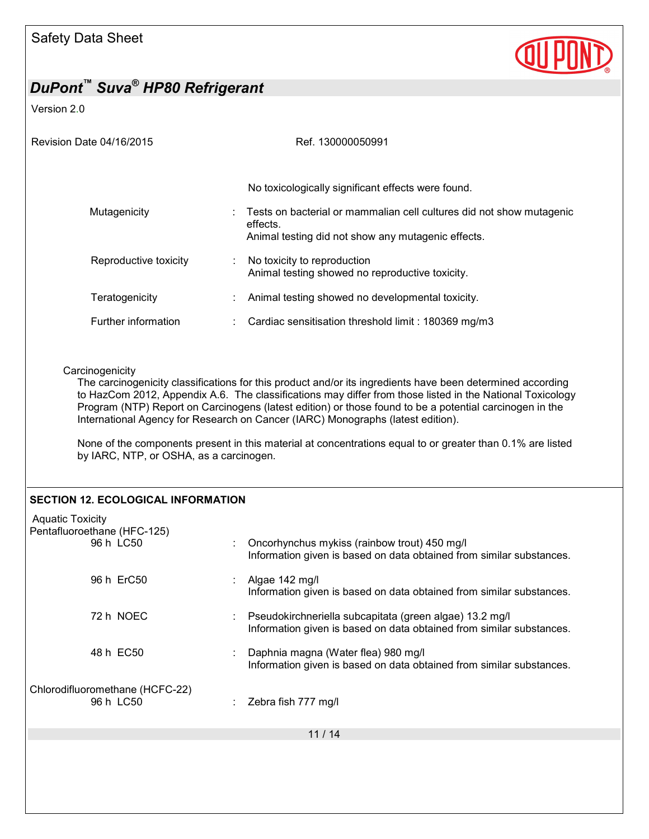

Version 2.0

| Revision Date 04/16/2015                                                                                                                                                                                                                                                                                                                                                                                                                                                                                                                                                                          | Ref. 130000050991                                                                                                                                                                            |  |  |
|---------------------------------------------------------------------------------------------------------------------------------------------------------------------------------------------------------------------------------------------------------------------------------------------------------------------------------------------------------------------------------------------------------------------------------------------------------------------------------------------------------------------------------------------------------------------------------------------------|----------------------------------------------------------------------------------------------------------------------------------------------------------------------------------------------|--|--|
| Mutagenicity                                                                                                                                                                                                                                                                                                                                                                                                                                                                                                                                                                                      | No toxicologically significant effects were found.<br>Tests on bacterial or mammalian cell cultures did not show mutagenic<br>effects.<br>Animal testing did not show any mutagenic effects. |  |  |
| Reproductive toxicity                                                                                                                                                                                                                                                                                                                                                                                                                                                                                                                                                                             | No toxicity to reproduction<br>Animal testing showed no reproductive toxicity.                                                                                                               |  |  |
| Teratogenicity                                                                                                                                                                                                                                                                                                                                                                                                                                                                                                                                                                                    | Animal testing showed no developmental toxicity.                                                                                                                                             |  |  |
| Further information                                                                                                                                                                                                                                                                                                                                                                                                                                                                                                                                                                               | Cardiac sensitisation threshold limit: 180369 mg/m3                                                                                                                                          |  |  |
| Carcinogenicity<br>The carcinogenicity classifications for this product and/or its ingredients have been determined according<br>to HazCom 2012, Appendix A.6. The classifications may differ from those listed in the National Toxicology<br>Program (NTP) Report on Carcinogens (latest edition) or those found to be a potential carcinogen in the<br>International Agency for Research on Cancer (IARC) Monographs (latest edition).<br>None of the components present in this material at concentrations equal to or greater than 0.1% are listed<br>by IARC, NTP, or OSHA, as a carcinogen. |                                                                                                                                                                                              |  |  |
| <b>SECTION 12. ECOLOGICAL INFORMATION</b>                                                                                                                                                                                                                                                                                                                                                                                                                                                                                                                                                         |                                                                                                                                                                                              |  |  |
| <b>Aquatic Toxicity</b><br>Pentafluoroethane (HFC-125)<br>96 h LC50                                                                                                                                                                                                                                                                                                                                                                                                                                                                                                                               | Oncorhynchus mykiss (rainbow trout) 450 mg/l<br>Information given is based on data obtained from similar substances.                                                                         |  |  |
| 96 h ErC50                                                                                                                                                                                                                                                                                                                                                                                                                                                                                                                                                                                        | Algae 142 mg/l<br>Information given is based on data obtained from similar substances.                                                                                                       |  |  |
| 72 h NOEC                                                                                                                                                                                                                                                                                                                                                                                                                                                                                                                                                                                         | Pseudokirchneriella subcapitata (green algae) 13.2 mg/l<br>Information given is based on data obtained from similar substances.                                                              |  |  |
| 48 h EC50                                                                                                                                                                                                                                                                                                                                                                                                                                                                                                                                                                                         | Daphnia magna (Water flea) 980 mg/l<br>Information given is based on data obtained from similar substances.                                                                                  |  |  |
| Chlorodifluoromethane (HCFC-22)<br>96 h LC50                                                                                                                                                                                                                                                                                                                                                                                                                                                                                                                                                      | Zebra fish 777 mg/l                                                                                                                                                                          |  |  |
|                                                                                                                                                                                                                                                                                                                                                                                                                                                                                                                                                                                                   | 11/14                                                                                                                                                                                        |  |  |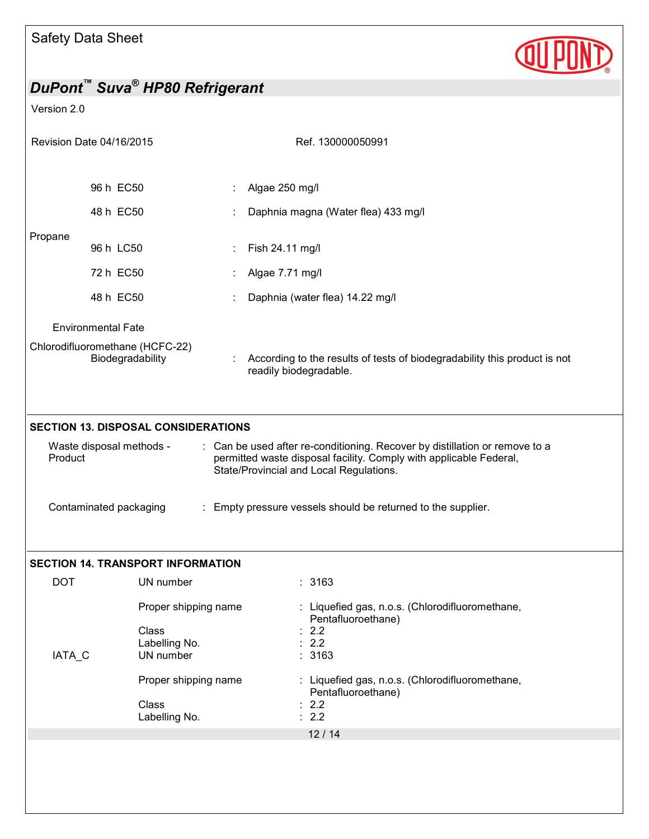

| DuPont <sup>™</sup> Suva <sup>®</sup> HP80 Refrigerant                                                                                                                                                                                                                                                                                                                      |                                                             |  |                                                                                                     |  |  |
|-----------------------------------------------------------------------------------------------------------------------------------------------------------------------------------------------------------------------------------------------------------------------------------------------------------------------------------------------------------------------------|-------------------------------------------------------------|--|-----------------------------------------------------------------------------------------------------|--|--|
| Version 2.0                                                                                                                                                                                                                                                                                                                                                                 |                                                             |  |                                                                                                     |  |  |
| Revision Date 04/16/2015                                                                                                                                                                                                                                                                                                                                                    |                                                             |  | Ref. 130000050991                                                                                   |  |  |
|                                                                                                                                                                                                                                                                                                                                                                             | 96 h EC50                                                   |  | Algae 250 mg/l                                                                                      |  |  |
|                                                                                                                                                                                                                                                                                                                                                                             | 48 h EC50                                                   |  | Daphnia magna (Water flea) 433 mg/l                                                                 |  |  |
| Propane                                                                                                                                                                                                                                                                                                                                                                     | 96 h LC50                                                   |  | Fish 24.11 mg/l                                                                                     |  |  |
|                                                                                                                                                                                                                                                                                                                                                                             | 72 h EC50                                                   |  | Algae 7.71 mg/l                                                                                     |  |  |
|                                                                                                                                                                                                                                                                                                                                                                             | 48 h EC50                                                   |  | Daphnia (water flea) 14.22 mg/l                                                                     |  |  |
|                                                                                                                                                                                                                                                                                                                                                                             | <b>Environmental Fate</b>                                   |  |                                                                                                     |  |  |
| Chlorodifluoromethane (HCFC-22)<br>Biodegradability                                                                                                                                                                                                                                                                                                                         |                                                             |  | According to the results of tests of biodegradability this product is not<br>readily biodegradable. |  |  |
| <b>SECTION 13. DISPOSAL CONSIDERATIONS</b><br>: Can be used after re-conditioning. Recover by distillation or remove to a<br>Waste disposal methods -<br>Product<br>permitted waste disposal facility. Comply with applicable Federal,<br>State/Provincial and Local Regulations.<br>: Empty pressure vessels should be returned to the supplier.<br>Contaminated packaging |                                                             |  |                                                                                                     |  |  |
|                                                                                                                                                                                                                                                                                                                                                                             | <b>SECTION 14. TRANSPORT INFORMATION</b>                    |  |                                                                                                     |  |  |
| <b>DOT</b>                                                                                                                                                                                                                                                                                                                                                                  | UN number                                                   |  | : 3163                                                                                              |  |  |
| IATA_C                                                                                                                                                                                                                                                                                                                                                                      | Proper shipping name<br>Class<br>Labelling No.<br>UN number |  | : Liquefied gas, n.o.s. (Chlorodifluoromethane,<br>Pentafluoroethane)<br>2.2<br>2.2<br>3163         |  |  |
|                                                                                                                                                                                                                                                                                                                                                                             | Proper shipping name<br>Class<br>Labelling No.              |  | : Liquefied gas, n.o.s. (Chlorodifluoromethane,<br>Pentafluoroethane)<br>2.2<br>2.2<br>12/14        |  |  |
|                                                                                                                                                                                                                                                                                                                                                                             |                                                             |  |                                                                                                     |  |  |
|                                                                                                                                                                                                                                                                                                                                                                             |                                                             |  |                                                                                                     |  |  |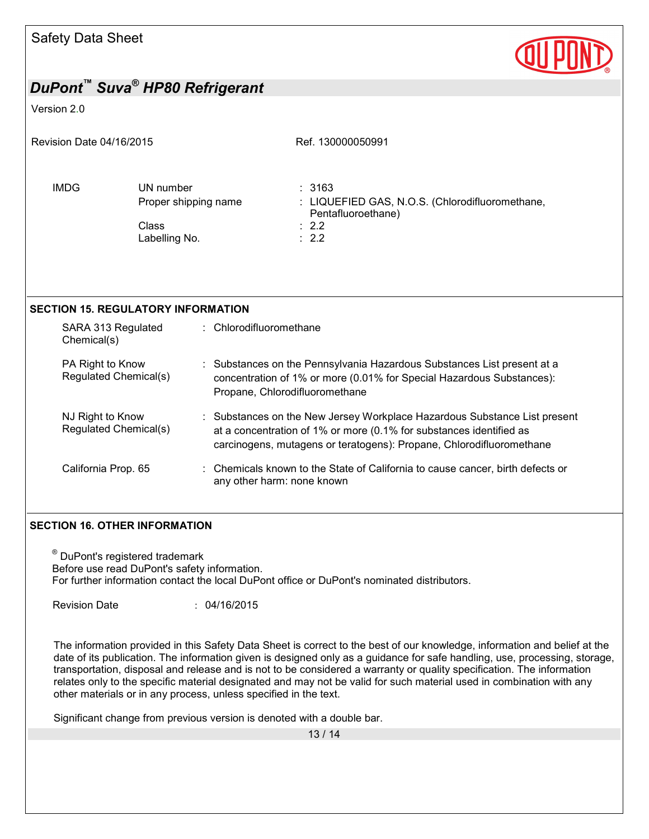

# *DuPont™ Suva® HP80 Refrigerant*  Version 2.0 Revision Date 04/16/2015 Revision Date 04/16/2015 IMDG UN number : 3163 Proper shipping name : LIQUEFIED GAS, N.O.S. (Chlorodifluoromethane, Pentafluoroethane) Class : 2.2 Labelling No. **SECTION 15. REGULATORY INFORMATION**  SARA 313 Regulated Chemical(s) : Chlorodifluoromethane PA Right to Know Regulated Chemical(s) : Substances on the Pennsylvania Hazardous Substances List present at a concentration of 1% or more (0.01% for Special Hazardous Substances): Propane, Chlorodifluoromethane NJ Right to Know Regulated Chemical(s) : Substances on the New Jersey Workplace Hazardous Substance List present at a concentration of 1% or more (0.1% for substances identified as carcinogens, mutagens or teratogens): Propane, Chlorodifluoromethane California Prop. 65 : Chemicals known to the State of California to cause cancer, birth defects or any other harm: none known **SECTION 16. OTHER INFORMATION**

® DuPont's registered trademark Before use read DuPont's safety information. For further information contact the local DuPont office or DuPont's nominated distributors.

Revision Date : 04/16/2015

The information provided in this Safety Data Sheet is correct to the best of our knowledge, information and belief at the date of its publication. The information given is designed only as a guidance for safe handling, use, processing, storage, transportation, disposal and release and is not to be considered a warranty or quality specification. The information relates only to the specific material designated and may not be valid for such material used in combination with any other materials or in any process, unless specified in the text.

Significant change from previous version is denoted with a double bar.